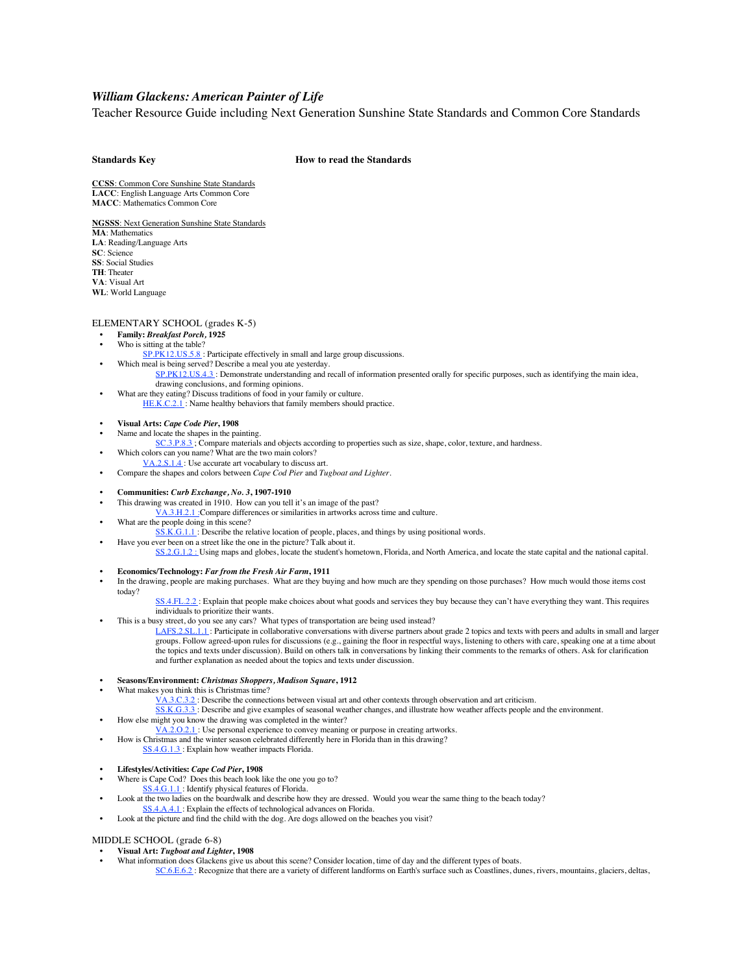# *William Glackens: American Painter of Life*

Teacher Resource Guide including Next Generation Sunshine State Standards and Common Core Standards

# **Standards Key How to read the Standards**

**CCSS**: Common Core Sunshine State Standards **LACC**: English Language Arts Common Core **MACC**: Mathematics Common Core

**NGSSS**: Next Generation Sunshine State Standards **MA**: Mathematics **LA**: Reading/Language Arts **SC**: Science **SS**: Social Studies

**TH**: Theater

**VA**: Visual Art

**WL**: World Language

## ELEMENTARY SCHOOL (grades K-5)

- **• Family:** *Breakfast Porch,* **1925**
- Who is sitting at the table?
	- SP.PK12.US.5.8: Participate effectively in small and large group discussions. Which meal is being served? Describe a meal you ate yesterday.
		- SP.PK12.US.4.3 : Demonstrate understanding and recall of information presented orally for specific purposes, such as identifying the main idea, drawing conclusions, and forming opinions.
- What are they eating? Discuss traditions of food in your family or culture. HE.K.C.2.1 : Name healthy behaviors that family members should practice.
- **• Visual Arts:** *Cape Code Pier***, 1908**
- Name and locate the shapes in the painting.
	- SC.3.P.8.3 ; Compare materials and objects according to properties such as size, shape, color, texture, and hardness.
- Which colors can you name? What are the two main colors?
- VA.2.S.1.4 : Use accurate art vocabulary to discuss art. • Compare the shapes and colors between *Cape Cod Pier* and *Tugboat and Lighter.*
- **• Communities:** *Curb Exchange, No. 3***, 1907-1910**
- This drawing was created in 1910. How can you tell it's an image of the past?
- VA.3.H.2.1 :Compare differences or similarities in artworks across time and culture.
- What are the people doing in this scene?
- SS.K.G.1.1 : Describe the relative location of people, places, and things by using positional words.
- Have you ever been on a street like the one in the picture? Talk about it.
	- SS.2.G.1.2 : Using maps and globes, locate the student's hometown, Florida, and North America, and locate the state capital and the national capital.
- **• Economics/Technology:** *Far from the Fresh Air Farm***, 1911**

• In the drawing, people are making purchases. What are they buying and how much are they spending on those purchases? How much would those items cost today?

SS.4.FL.2.2 : Explain that people make choices about what goods and services they buy because they can't have everything they want. This requires individuals to prioritize their wants.

This is a busy street, do you see any cars? What types of transportation are being used instead?

LAFS.2.SL.1.1 : Participate in collaborative conversations with diverse partners about grade 2 topics and texts with peers and adults in small and larger groups. Follow agreed-upon rules for discussions (e.g., gaining the floor in respectful ways, listening to others with care, speaking one at a time about the topics and texts under discussion). Build on others talk in conversations by linking their comments to the remarks of others. Ask for clarification and further explanation as needed about the topics and texts under discussion.

- **• Seasons/Environment:** *Christmas Shoppers, Madison Square***, 1912**
- What makes you think this is Christmas time?
	- VA.3.C.3.2 : Describe the connections between visual art and other contexts through observation and art criticism.
	- SS.K.G.3.3 : Describe and give examples of seasonal weather changes, and illustrate how weather affects people and the environment.
- How else might you know the drawing was completed in the winter?
- VA.2.O.2.1 : Use personal experience to convey meaning or purpose in creating artworks.
- How is Christmas and the winter season celebrated differently here in Florida than in this drawing? SS.4.G.1.3: Explain how weather impacts Florida.
- **• Lifestyles/Activities:** *Cape Cod Pier***, 1908**
- Where is Cape Cod? Does this beach look like the one you go to?
- SS.4.G.1.1 : Identify physical features of Florida.
- Look at the two ladies on the boardwalk and describe how they are dressed. Would you wear the same thing to the beach today? SS.4.A.4.1 : Explain the effects of technological advances on Florida.
- Look at the picture and find the child with the dog. Are dogs allowed on the beaches you visit?

## MIDDLE SCHOOL (grade 6-8)

- **• Visual Art:** *Tugboat and Lighter***, 1908**
	- What information does Glackens give us about this scene? Consider location, time of day and the different types of boats. SC.6.E.6.2 : Recognize that there are a variety of different landforms on Earth's surface such as Coastlines, dunes, rivers, mountains, glaciers, deltas,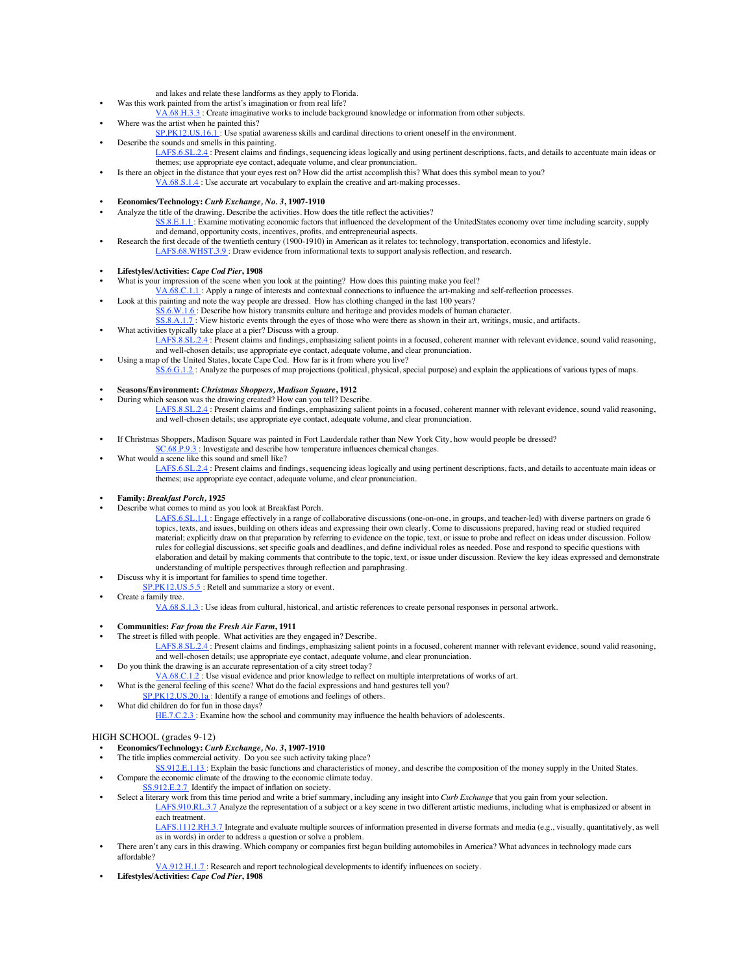- and lakes and relate these landforms as they apply to Florida.
- Was this work painted from the artist's imagination or from real life?
- VA.68.H.3.3 : Create imaginative works to include background knowledge or information from other subjects.
- Where was the artist when he painted this?
- SP.PK12.US.16.1 : Use spatial awareness skills and cardinal directions to orient oneself in the environment.
- Describe the sounds and smells in this painting.
	- LAFS.6.SL.2.4 : Present claims and findings, sequencing ideas logically and using pertinent descriptions, facts, and details to accentuate main ideas or themes; use appropriate eye contact, adequate volume, and clear pronunciation.
- Is there an object in the distance that your eyes rest on? How did the artist accomplish this? What does this symbol mean to you? VA.68.S.1.4 : Use accurate art vocabulary to explain the creative and art-making processes.

#### **• Economics/Technology:** *Curb Exchange, No. 3***, 1907-1910**

- Analyze the title of the drawing. Describe the activities. How does the title reflect the activities?
	- SS.8.E.1.1 : Examine motivating economic factors that influenced the development of the UnitedStates economy over time including scarcity, supply and demand, opportunity costs, incentives, profits, and entrepreneurial aspects.
- Research the first decade of the twentieth century (1900-1910) in American as it relates to: technology, transportation, economics and lifestyle.
- LAFS.68.WHST.3.9 : Draw evidence from informational texts to support analysis reflection, and research.

## **• Lifestyles/Activities:** *Cape Cod Pier***, 1908**

- What is your impression of the scene when you look at the painting? How does this painting make you feel?
- VA.68.C.1.1 : Apply a range of interests and contextual connections to influence the art-making and self-reflection processes.
- Look at this painting and note the way people are dressed. How has clothing changed in the last 100 years? SS.6.W.1.6 : Describe how history transmits culture and heritage and provides models of human character.

SS.8.A.1.7 : View historic events through the eyes of those who were there as shown in their art, writings, music, and artifacts.

- What activities typically take place at a pier? Discuss with a group. LAFS.8.SL.2.4 : Present claims and findings, emphasizing salient points in a focused, coherent manner with relevant evidence, sound valid reasoning, and well-chosen details; use appropriate eye contact, adequate volume, and clear pronunciation.
	- Using a map of the United States, locate Cape Cod. How far is it from where you live?
	- SS.6.G.1.2 : Analyze the purposes of map projections (political, physical, special purpose) and explain the applications of various types of maps.

## **• Seasons/Environment:** *Christmas Shoppers, Madison Square***, 1912**

- During which season was the drawing created? How can you tell? Describe.
	- LAFS.8.SL.2.4 : Present claims and findings, emphasizing salient points in a focused, coherent manner with relevant evidence, sound valid reasoning, and well-chosen details; use appropriate eye contact, adequate volume, and clear pronunciation.
- If Christmas Shoppers, Madison Square was painted in Fort Lauderdale rather than New York City, how would people be dressed?
- SC.68.P.9.3 : Investigate and describe how temperature influences chemical changes.
- What would a scene like this sound and smell like?

LAFS.6.SL.2.4 : Present claims and findings, sequencing ideas logically and using pertinent descriptions, facts, and details to accentuate main ideas or themes; use appropriate eye contact, adequate volume, and clear pronunciation.

#### **• Family:** *Breakfast Porch,* **1925**

- Describe what comes to mind as you look at Breakfast Porch.
	- LAFS.6.SL.1.1 : Engage effectively in a range of collaborative discussions (one-on-one, in groups, and teacher-led) with diverse partners on grade 6 topics, texts, and issues, building on others ideas and expressing their own clearly. Come to discussions prepared, having read or studied required material; explicitly draw on that preparation by referring to evidence on the topic, text, or issue to probe and reflect on ideas under discussion. Follow rules for collegial discussions, set specific goals and deadlines, and define individual roles as needed. Pose and respond to specific questions with elaboration and detail by making comments that contribute to the topic, text, or issue under discussion. Review the key ideas expressed and demonstrate understanding of multiple perspectives through reflection and paraphrasing.
- Discuss why it is important for families to spend time together.
- SP.PK12.US.5.5 : Retell and summarize a story or event.
- Create a family tree.
	- VA.68.S.1.3 : Use ideas from cultural, historical, and artistic references to create personal responses in personal artwork.
- **• Communities:** *Far from the Fresh Air Farm***, 1911**
- The street is filled with people. What activities are they engaged in? Describe.
	- LAFS.8.SL.2.4 : Present claims and findings, emphasizing salient points in a focused, coherent manner with relevant evidence, sound valid reasoning, and well-chosen details; use appropriate eye contact, adequate volume, and clear pronunciation.
- Do you think the drawing is an accurate representation of a city street today?
- VA.68.C.1.2 : Use visual evidence and prior knowledge to reflect on multiple interpretations of works of art.
	- What is the general feeling of this scene? What do the facial expressions and hand gestures tell you?
	- SP.PK12.US.20.1a: Identify a range of emotions and feelings of others.
- What did children do for fun in those days?

HE.7.C.2.3 : Examine how the school and community may influence the health behaviors of adolescents.

### HIGH SCHOOL (grades 9-12)

- **• Economics/Technology:** *Curb Exchange, No. 3***, 1907-1910**
- The title implies commercial activity. Do you see such activity taking place?
- SS.912.E.1.13 : Explain the basic functions and characteristics of money, and describe the composition of the money supply in the United States.
- Compare the economic climate of the drawing to the economic climate today.
- SS.912.E.2.7 Identify the impact of inflation on society.
	- Select a literary work from this time period and write a brief summary, including any insight into *Curb Exchange* that you gain from your selection. LAFS.910.RL.3.7 Analyze the representation of a subject or a key scene in two different artistic mediums, including what is emphasized or absent in each treatment.

LAFS.1112.RH.3.7 Integrate and evaluate multiple sources of information presented in diverse formats and media (e.g., visually, quantitatively, as well as in words) in order to address a question or solve a problem.

- There aren't any cars in this drawing. Which company or companies first began building automobiles in America? What advances in technology made cars affordable?
	- VA.912.H.1.7 : Research and report technological developments to identify influences on society.
- **• Lifestyles/Activities:** *Cape Cod Pier***, 1908**